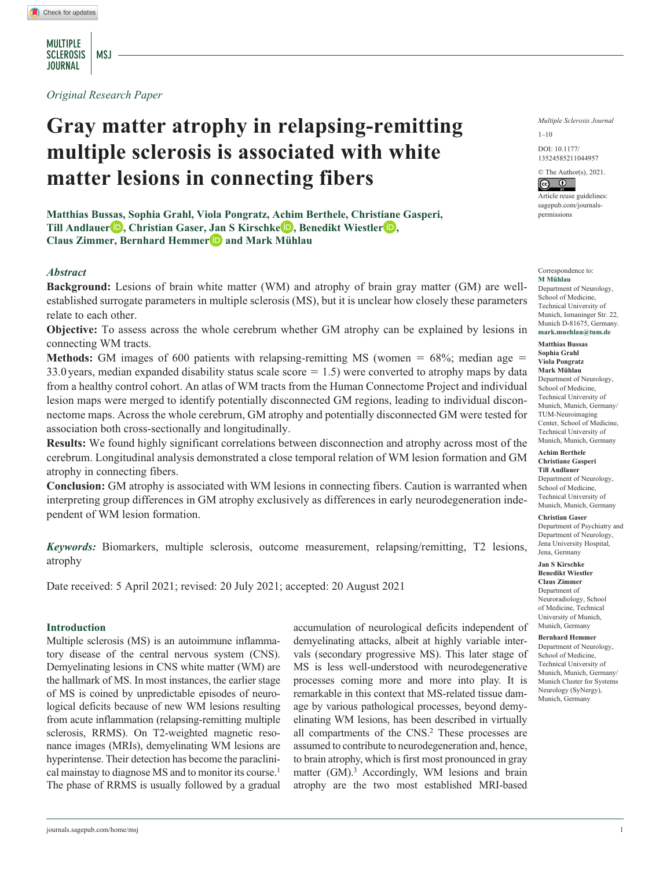MULTIPLE SCLEROSIS | MSJ **JOURNAL** 

*Original Research Paper*

# **Gray matter atrophy in relapsing-remitting multiple sclerosis is associated with white matter lesions in connecting fibers**

**Matthias Bussas, Sophia Grahl, Viola Pongratz, Achim Berthele, Christiane Gasperi, Till Andlauer D**, Christian Gaser, Jan S Kirschke **D**, Benedikt Wiestler **D**, **Claus Zimmer, Bernhard Hemmer D and Mark Mühlau** 

# *Abstract*

**Background:** Lesions of brain white matter (WM) and atrophy of brain gray matter (GM) are wellestablished surrogate parameters in multiple sclerosis (MS), but it is unclear how closely these parameters relate to each other.

**Objective:** To assess across the whole cerebrum whether GM atrophy can be explained by lesions in connecting WM tracts.

**Methods:** GM images of 600 patients with relapsing-remitting MS (women  $= 68\%$ ; median age  $=$ 33.0 years, median expanded disability status scale score  $= 1.5$ ) were converted to atrophy maps by data from a healthy control cohort. An atlas of WM tracts from the Human Connectome Project and individual lesion maps were merged to identify potentially disconnected GM regions, leading to individual disconnectome maps. Across the whole cerebrum, GM atrophy and potentially disconnected GM were tested for association both cross-sectionally and longitudinally.

**Results:** We found highly significant correlations between disconnection and atrophy across most of the cerebrum. Longitudinal analysis demonstrated a close temporal relation of WM lesion formation and GM atrophy in connecting fibers.

**Conclusion:** GM atrophy is associated with WM lesions in connecting fibers. Caution is warranted when interpreting group differences in GM atrophy exclusively as differences in early neurodegeneration independent of WM lesion formation.

*Keywords:* Biomarkers, multiple sclerosis, outcome measurement, relapsing/remitting, T2 lesions, atrophy

Date received: 5 April 2021; revised: 20 July 2021; accepted: 20 August 2021

#### **Introduction**

Multiple sclerosis (MS) is an autoimmune inflammatory disease of the central nervous system (CNS). Demyelinating lesions in CNS white matter (WM) are the hallmark of MS. In most instances, the earlier stage of MS is coined by unpredictable episodes of neurological deficits because of new WM lesions resulting from acute inflammation (relapsing-remitting multiple sclerosis, RRMS). On T2-weighted magnetic resonance images (MRIs), demyelinating WM lesions are hyperintense. Their detection has become the paraclinical mainstay to diagnose MS and to monitor its course.1 The phase of RRMS is usually followed by a gradual accumulation of neurological deficits independent of demyelinating attacks, albeit at highly variable intervals (secondary progressive MS). This later stage of MS is less well-understood with neurodegenerative processes coming more and more into play. It is remarkable in this context that MS-related tissue damage by various pathological processes, beyond demyelinating WM lesions, has been described in virtually all compartments of the CNS.2 These processes are assumed to contribute to neurodegeneration and, hence, to brain atrophy, which is first most pronounced in gray matter (GM).3 Accordingly, WM lesions and brain atrophy are the two most established MRI-based

*Multiple Sclerosis Journal*

DOI: 10.1177/ https://doi.org/10.1177/13524585211044957 13524585211044957  $1-10$ 

© The Author(s), 2021.  $\begin{matrix} 6 & 0 \end{matrix}$ 

Article reuse guidelines: [sagepub.com/journals](https://uk.sagepub.com/en-gb/journals-permissions)[permissions](https://uk.sagepub.com/en-gb/journals-permissions)

#### Correspondence to: **M Mühlau**

Department of Neurology, School of Medicine, Technical University of Munich, Ismaninger Str. 22, Munich D-81675, Germany.

# **[mark.muehlau@tum.de](mailto:mark.muehlau@tum.de)**

**Matthias Bussas Sophia Grahl Viola Pongratz** 

**Mark Mühlau** Department of Neurology. School of Medicine, Technical University of Munich, Munich, Germany/ TUM-Neuroimaging Center, School of Medicine, Technical University of Munich, Munich, Germany

#### **Achim Berthele Christiane Gasperi Till Andlauer**

Department of Neurology, School of Medicine, Technical University of Munich, Munich, Germany

#### **Christian Gaser**

Department of Psychiatry and Department of Neurology, Jena University Hospital, Jena, Germany

#### **Jan S Kirschke Benedikt Wiestler Claus Zimmer**

Department of Neuroradiology, School of Medicine, Technical University of Munich, Munich, Germany

**Bernhard Hemmer** Department of Neurology, School of Medicine, Technical University of Munich, Munich, Germany/ Munich Cluster for Systems Neurology (SyNergy), Munich, Germany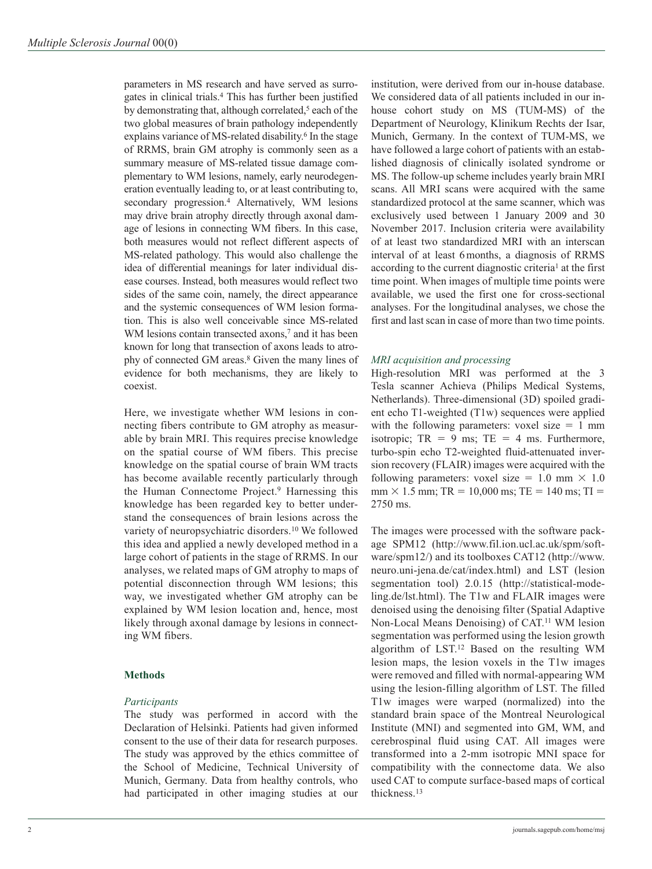parameters in MS research and have served as surrogates in clinical trials.4 This has further been justified by demonstrating that, although correlated,<sup>5</sup> each of the two global measures of brain pathology independently explains variance of MS-related disability.<sup>6</sup> In the stage of RRMS, brain GM atrophy is commonly seen as a summary measure of MS-related tissue damage complementary to WM lesions, namely, early neurodegeneration eventually leading to, or at least contributing to, secondary progression.<sup>4</sup> Alternatively, WM lesions may drive brain atrophy directly through axonal damage of lesions in connecting WM fibers. In this case, both measures would not reflect different aspects of MS-related pathology. This would also challenge the idea of differential meanings for later individual disease courses. Instead, both measures would reflect two sides of the same coin, namely, the direct appearance and the systemic consequences of WM lesion formation. This is also well conceivable since MS-related WM lesions contain transected axons,<sup>7</sup> and it has been known for long that transection of axons leads to atrophy of connected GM areas.<sup>8</sup> Given the many lines of evidence for both mechanisms, they are likely to coexist.

Here, we investigate whether WM lesions in connecting fibers contribute to GM atrophy as measurable by brain MRI. This requires precise knowledge on the spatial course of WM fibers. This precise knowledge on the spatial course of brain WM tracts has become available recently particularly through the Human Connectome Project.<sup>9</sup> Harnessing this knowledge has been regarded key to better understand the consequences of brain lesions across the variety of neuropsychiatric disorders.10 We followed this idea and applied a newly developed method in a large cohort of patients in the stage of RRMS. In our analyses, we related maps of GM atrophy to maps of potential disconnection through WM lesions; this way, we investigated whether GM atrophy can be explained by WM lesion location and, hence, most likely through axonal damage by lesions in connecting WM fibers.

# **Methods**

## *Participants*

The study was performed in accord with the Declaration of Helsinki. Patients had given informed consent to the use of their data for research purposes. The study was approved by the ethics committee of the School of Medicine, Technical University of Munich, Germany. Data from healthy controls, who had participated in other imaging studies at our

institution, were derived from our in-house database. We considered data of all patients included in our inhouse cohort study on MS (TUM-MS) of the Department of Neurology, Klinikum Rechts der Isar, Munich, Germany. In the context of TUM-MS, we have followed a large cohort of patients with an established diagnosis of clinically isolated syndrome or MS. The follow-up scheme includes yearly brain MRI scans. All MRI scans were acquired with the same standardized protocol at the same scanner, which was exclusively used between 1 January 2009 and 30 November 2017. Inclusion criteria were availability of at least two standardized MRI with an interscan interval of at least 6months, a diagnosis of RRMS according to the current diagnostic criteria<sup>1</sup> at the first time point. When images of multiple time points were available, we used the first one for cross-sectional analyses. For the longitudinal analyses, we chose the first and last scan in case of more than two time points.

# *MRI acquisition and processing*

High-resolution MRI was performed at the 3 Tesla scanner Achieva (Philips Medical Systems, Netherlands). Three-dimensional (3D) spoiled gradient echo T1-weighted (T1w) sequences were applied with the following parameters: voxel size  $= 1$  mm isotropic;  $TR = 9$  ms;  $TE = 4$  ms. Furthermore, turbo-spin echo T2-weighted fluid-attenuated inversion recovery (FLAIR) images were acquired with the following parameters: voxel size = 1.0 mm  $\times$  1.0  $mm \times 1.5 mm$ ; TR = 10,000 ms; TE = 140 ms; TI = 2750 ms.

The images were processed with the software package SPM12 [\(http://www.fil.ion.ucl.ac.uk/spm/soft](http://www.fil.ion.ucl.ac.uk/spm/software/spm12/)[ware/spm12/\)](http://www.fil.ion.ucl.ac.uk/spm/software/spm12/) and its toolboxes CAT12 [\(http://www.](http://www.neuro.uni-jena.de/cat/index.html) [neuro.uni-jena.de/cat/index.html\)](http://www.neuro.uni-jena.de/cat/index.html) and LST (lesion segmentation tool) 2.0.15 ([http://statistical-mode](http://statistical-modeling.de/lst.html)[ling.de/lst.html](http://statistical-modeling.de/lst.html)). The T1w and FLAIR images were denoised using the denoising filter (Spatial Adaptive Non-Local Means Denoising) of CAT.<sup>11</sup> WM lesion segmentation was performed using the lesion growth algorithm of LST.12 Based on the resulting WM lesion maps, the lesion voxels in the T1w images were removed and filled with normal-appearing WM using the lesion-filling algorithm of LST. The filled T1w images were warped (normalized) into the standard brain space of the Montreal Neurological Institute (MNI) and segmented into GM, WM, and cerebrospinal fluid using CAT. All images were transformed into a 2-mm isotropic MNI space for compatibility with the connectome data. We also used CAT to compute surface-based maps of cortical thickness.13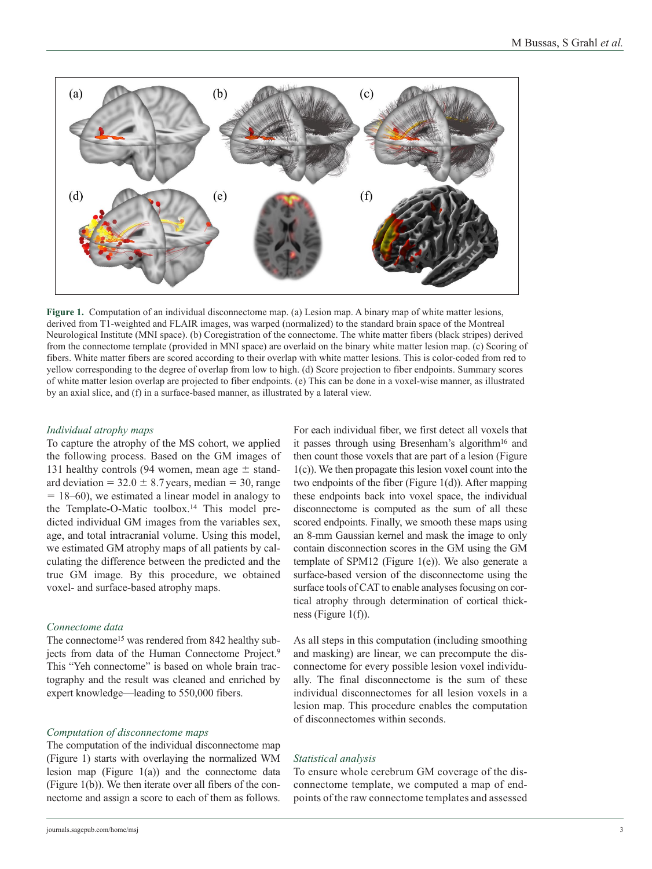

**Figure 1.** Computation of an individual disconnectome map. (a) Lesion map. A binary map of white matter lesions, derived from T1-weighted and FLAIR images, was warped (normalized) to the standard brain space of the Montreal Neurological Institute (MNI space). (b) Coregistration of the connectome. The white matter fibers (black stripes) derived from the connectome template (provided in MNI space) are overlaid on the binary white matter lesion map. (c) Scoring of fibers. White matter fibers are scored according to their overlap with white matter lesions. This is color-coded from red to yellow corresponding to the degree of overlap from low to high. (d) Score projection to fiber endpoints. Summary scores of white matter lesion overlap are projected to fiber endpoints. (e) This can be done in a voxel-wise manner, as illustrated by an axial slice, and (f) in a surface-based manner, as illustrated by a lateral view.

#### *Individual atrophy maps*

To capture the atrophy of the MS cohort, we applied the following process. Based on the GM images of 131 healthy controls (94 women, mean age  $\pm$  standard deviation =  $32.0 \pm 8.7$  years, median = 30, range  $= 18-60$ , we estimated a linear model in analogy to the Template-O-Matic toolbox.14 This model predicted individual GM images from the variables sex, age, and total intracranial volume. Using this model, we estimated GM atrophy maps of all patients by calculating the difference between the predicted and the true GM image. By this procedure, we obtained voxel- and surface-based atrophy maps.

# *Connectome data*

The connectome<sup>15</sup> was rendered from 842 healthy subjects from data of the Human Connectome Project.<sup>9</sup> This "Yeh connectome" is based on whole brain tractography and the result was cleaned and enriched by expert knowledge—leading to 550,000 fibers.

#### *Computation of disconnectome maps*

The computation of the individual disconnectome map (Figure 1) starts with overlaying the normalized WM lesion map (Figure 1(a)) and the connectome data (Figure 1(b)). We then iterate over all fibers of the connectome and assign a score to each of them as follows. For each individual fiber, we first detect all voxels that it passes through using Bresenham's algorithm<sup>16</sup> and then count those voxels that are part of a lesion (Figure 1(c)). We then propagate this lesion voxel count into the two endpoints of the fiber (Figure 1(d)). After mapping these endpoints back into voxel space, the individual disconnectome is computed as the sum of all these scored endpoints. Finally, we smooth these maps using an 8-mm Gaussian kernel and mask the image to only contain disconnection scores in the GM using the GM template of SPM12 (Figure 1(e)). We also generate a surface-based version of the disconnectome using the surface tools of CAT to enable analyses focusing on cortical atrophy through determination of cortical thickness (Figure 1(f)).

As all steps in this computation (including smoothing and masking) are linear, we can precompute the disconnectome for every possible lesion voxel individually. The final disconnectome is the sum of these individual disconnectomes for all lesion voxels in a lesion map. This procedure enables the computation of disconnectomes within seconds.

## *Statistical analysis*

To ensure whole cerebrum GM coverage of the disconnectome template, we computed a map of endpoints of the raw connectome templates and assessed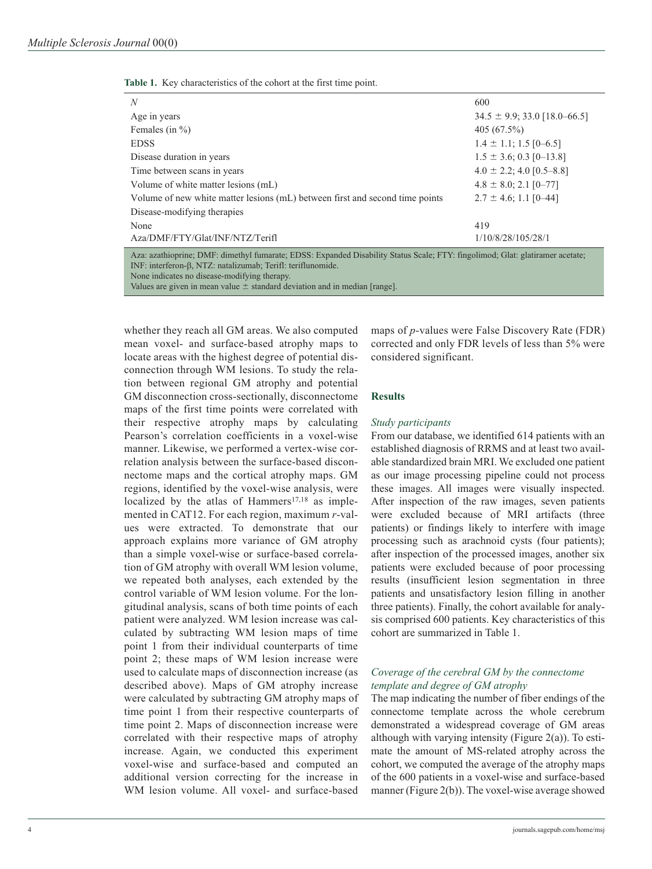|  |  | <b>Table 1.</b> Key characteristics of the cohort at the first time point. |  |  |  |  |  |  |
|--|--|----------------------------------------------------------------------------|--|--|--|--|--|--|
|--|--|----------------------------------------------------------------------------|--|--|--|--|--|--|

| N                                                                                                                                                                                            | 600                               |  |  |  |
|----------------------------------------------------------------------------------------------------------------------------------------------------------------------------------------------|-----------------------------------|--|--|--|
| Age in years                                                                                                                                                                                 | $34.5 \pm 9.9$ ; 33.0 [18.0–66.5] |  |  |  |
| Females (in $\%$ )                                                                                                                                                                           | 405 $(67.5\%)$                    |  |  |  |
| <b>EDSS</b>                                                                                                                                                                                  | $1.4 \pm 1.1$ ; 1.5 [0-6.5]       |  |  |  |
| Disease duration in years                                                                                                                                                                    | $1.5 \pm 3.6$ ; 0.3 [0-13.8]      |  |  |  |
| Time between scans in years                                                                                                                                                                  | $4.0 \pm 2.2$ ; 4.0 [0.5–8.8]     |  |  |  |
| Volume of white matter lesions (mL)                                                                                                                                                          | $4.8 \pm 8.0$ ; 2.1 [0-77]        |  |  |  |
| Volume of new white matter lesions (mL) between first and second time points                                                                                                                 | $2.7 \pm 4.6$ ; 1.1 [0-44]        |  |  |  |
| Disease-modifying therapies                                                                                                                                                                  |                                   |  |  |  |
| None                                                                                                                                                                                         | 419                               |  |  |  |
| Aza/DMF/FTY/Glat/INF/NTZ/Terifl                                                                                                                                                              | 1/10/8/28/105/28/1                |  |  |  |
| Aza: azathioprine; DMF: dimethyl fumarate; EDSS: Expanded Disability Status Scale; FTY: fingolimod; Glat: glatiramer acetate;<br>INF: interferon-β, NTZ: natalizumab; Terifl: teriflunomide. |                                   |  |  |  |

None indicates no disease-modifying therapy.

Values are given in mean value  $\pm$  standard deviation and in median [range].

whether they reach all GM areas. We also computed mean voxel- and surface-based atrophy maps to locate areas with the highest degree of potential disconnection through WM lesions. To study the relation between regional GM atrophy and potential GM disconnection cross-sectionally, disconnectome maps of the first time points were correlated with their respective atrophy maps by calculating Pearson's correlation coefficients in a voxel-wise manner. Likewise, we performed a vertex-wise correlation analysis between the surface-based disconnectome maps and the cortical atrophy maps. GM regions, identified by the voxel-wise analysis, were localized by the atlas of  $Hammers<sup>17,18</sup>$  as implemented in CAT12. For each region, maximum *r*-values were extracted. To demonstrate that our approach explains more variance of GM atrophy than a simple voxel-wise or surface-based correlation of GM atrophy with overall WM lesion volume, we repeated both analyses, each extended by the control variable of WM lesion volume. For the longitudinal analysis, scans of both time points of each patient were analyzed. WM lesion increase was calculated by subtracting WM lesion maps of time point 1 from their individual counterparts of time point 2; these maps of WM lesion increase were used to calculate maps of disconnection increase (as described above). Maps of GM atrophy increase were calculated by subtracting GM atrophy maps of time point 1 from their respective counterparts of time point 2. Maps of disconnection increase were correlated with their respective maps of atrophy increase. Again, we conducted this experiment voxel-wise and surface-based and computed an additional version correcting for the increase in WM lesion volume. All voxel- and surface-based

maps of *p*-values were False Discovery Rate (FDR) corrected and only FDR levels of less than 5% were considered significant.

#### **Results**

#### *Study participants*

From our database, we identified 614 patients with an established diagnosis of RRMS and at least two available standardized brain MRI. We excluded one patient as our image processing pipeline could not process these images. All images were visually inspected. After inspection of the raw images, seven patients were excluded because of MRI artifacts (three patients) or findings likely to interfere with image processing such as arachnoid cysts (four patients); after inspection of the processed images, another six patients were excluded because of poor processing results (insufficient lesion segmentation in three patients and unsatisfactory lesion filling in another three patients). Finally, the cohort available for analysis comprised 600 patients. Key characteristics of this cohort are summarized in Table 1.

# *Coverage of the cerebral GM by the connectome template and degree of GM atrophy*

The map indicating the number of fiber endings of the connectome template across the whole cerebrum demonstrated a widespread coverage of GM areas although with varying intensity (Figure  $2(a)$ ). To estimate the amount of MS-related atrophy across the cohort, we computed the average of the atrophy maps of the 600 patients in a voxel-wise and surface-based manner (Figure 2(b)). The voxel-wise average showed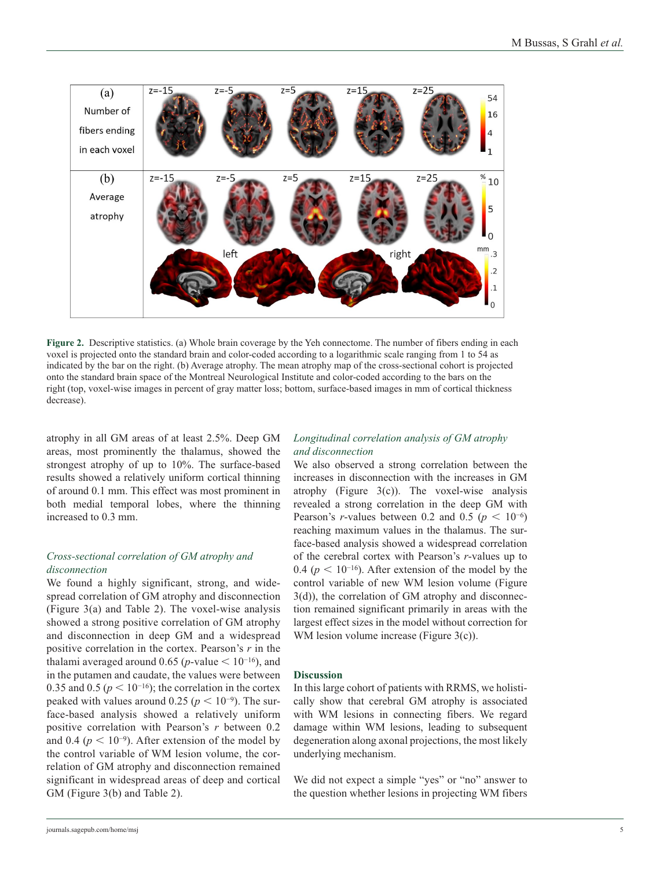

**Figure 2.** Descriptive statistics. (a) Whole brain coverage by the Yeh connectome. The number of fibers ending in each voxel is projected onto the standard brain and color-coded according to a logarithmic scale ranging from 1 to 54 as indicated by the bar on the right. (b) Average atrophy. The mean atrophy map of the cross-sectional cohort is projected onto the standard brain space of the Montreal Neurological Institute and color-coded according to the bars on the right (top, voxel-wise images in percent of gray matter loss; bottom, surface-based images in mm of cortical thickness decrease).

atrophy in all GM areas of at least 2.5%. Deep GM areas, most prominently the thalamus, showed the strongest atrophy of up to 10%. The surface-based results showed a relatively uniform cortical thinning of around 0.1 mm. This effect was most prominent in both medial temporal lobes, where the thinning increased to 0.3 mm.

# *Cross-sectional correlation of GM atrophy and disconnection*

We found a highly significant, strong, and widespread correlation of GM atrophy and disconnection (Figure 3(a) and Table 2). The voxel-wise analysis showed a strong positive correlation of GM atrophy and disconnection in deep GM and a widespread positive correlation in the cortex. Pearson's *r* in the thalami averaged around 0.65 (*p*-value  $\lt$  10<sup>-16</sup>), and in the putamen and caudate, the values were between 0.35 and 0.5 ( $p < 10^{-16}$ ); the correlation in the cortex peaked with values around 0.25 ( $p < 10^{-9}$ ). The surface-based analysis showed a relatively uniform positive correlation with Pearson's *r* between 0.2 and 0.4 ( $p < 10^{-9}$ ). After extension of the model by the control variable of WM lesion volume, the correlation of GM atrophy and disconnection remained significant in widespread areas of deep and cortical GM (Figure 3(b) and Table 2).

# *Longitudinal correlation analysis of GM atrophy and disconnection*

We also observed a strong correlation between the increases in disconnection with the increases in GM atrophy (Figure 3(c)). The voxel-wise analysis revealed a strong correlation in the deep GM with Pearson's *r*-values between 0.2 and 0.5 ( $p < 10^{-6}$ ) reaching maximum values in the thalamus. The surface-based analysis showed a widespread correlation of the cerebral cortex with Pearson's *r*-values up to 0.4 ( $p < 10^{-16}$ ). After extension of the model by the control variable of new WM lesion volume (Figure 3(d)), the correlation of GM atrophy and disconnection remained significant primarily in areas with the largest effect sizes in the model without correction for WM lesion volume increase (Figure 3(c)).

## **Discussion**

In this large cohort of patients with RRMS, we holistically show that cerebral GM atrophy is associated with WM lesions in connecting fibers. We regard damage within WM lesions, leading to subsequent degeneration along axonal projections, the most likely underlying mechanism.

We did not expect a simple "yes" or "no" answer to the question whether lesions in projecting WM fibers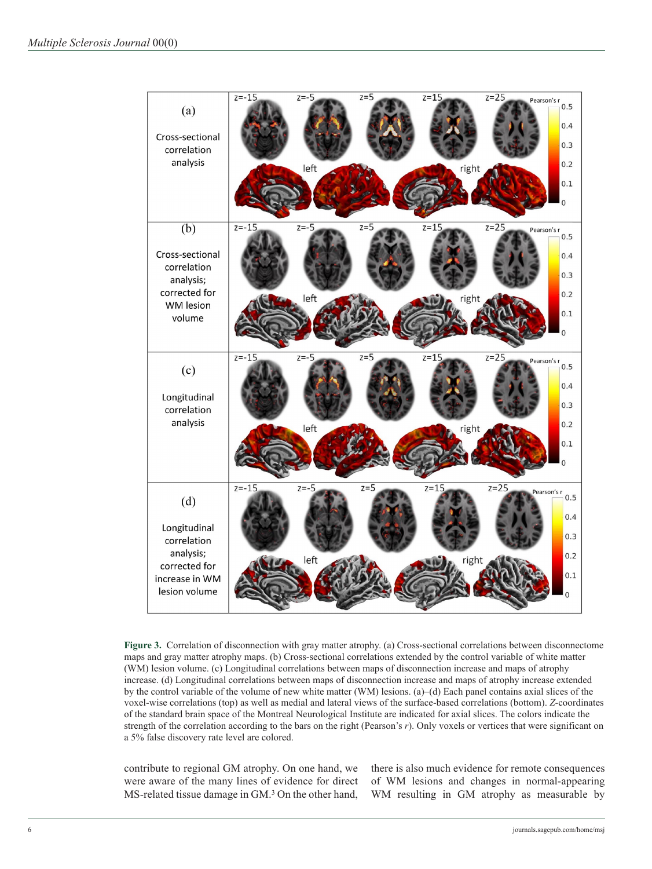

**Figure 3.** Correlation of disconnection with gray matter atrophy. (a) Cross-sectional correlations between disconnectome maps and gray matter atrophy maps. (b) Cross-sectional correlations extended by the control variable of white matter (WM) lesion volume. (c) Longitudinal correlations between maps of disconnection increase and maps of atrophy increase. (d) Longitudinal correlations between maps of disconnection increase and maps of atrophy increase extended by the control variable of the volume of new white matter (WM) lesions. (a)–(d) Each panel contains axial slices of the voxel-wise correlations (top) as well as medial and lateral views of the surface-based correlations (bottom). *Z*-coordinates of the standard brain space of the Montreal Neurological Institute are indicated for axial slices. The colors indicate the strength of the correlation according to the bars on the right (Pearson's *r*). Only voxels or vertices that were significant on a 5% false discovery rate level are colored.

contribute to regional GM atrophy. On one hand, we were aware of the many lines of evidence for direct MS-related tissue damage in GM.3 On the other hand,

there is also much evidence for remote consequences of WM lesions and changes in normal-appearing WM resulting in GM atrophy as measurable by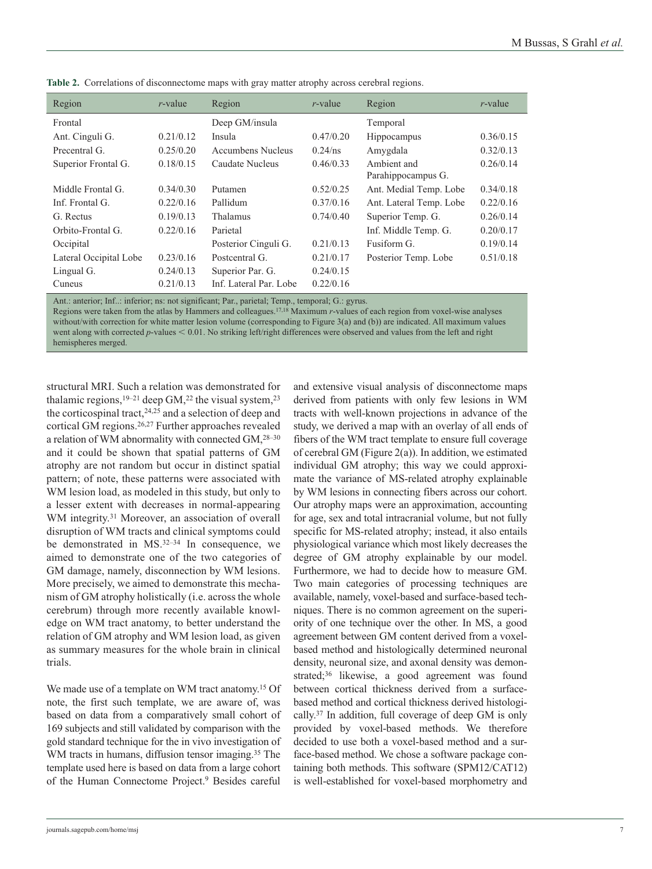| Region                           | $r$ -value | Region                 | $r$ -value | Region                            | $r$ -value |
|----------------------------------|------------|------------------------|------------|-----------------------------------|------------|
| Frontal                          |            | Deep GM/insula         |            | Temporal                          |            |
| Ant. Cinguli G.                  | 0.21/0.12  | Insula                 | 0.47/0.20  | Hippocampus                       | 0.36/0.15  |
| 0.25/0.20<br>Precentral G.       |            | Accumbens Nucleus      | $0.24$ /ns | Amygdala                          | 0.32/0.13  |
| 0.18/0.15<br>Superior Frontal G. |            | Caudate Nucleus        | 0.46/0.33  | Ambient and<br>Parahippocampus G. | 0.26/0.14  |
| Middle Frontal G.                | 0.34/0.30  | Putamen                | 0.52/0.25  | Ant. Medial Temp. Lobe            | 0.34/0.18  |
| Inf. Frontal G.                  | 0.22/0.16  | Pallidum               | 0.37/0.16  | Ant. Lateral Temp. Lobe           | 0.22/0.16  |
| G. Rectus                        | 0.19/0.13  | Thalamus               | 0.74/0.40  | Superior Temp. G.                 | 0.26/0.14  |
| Orbito-Frontal G.                | 0.22/0.16  | Parietal               |            | Inf. Middle Temp. G.              | 0.20/0.17  |
| Occipital                        |            | Posterior Cinguli G.   | 0.21/0.13  | Fusiform G.                       | 0.19/0.14  |
| Lateral Occipital Lobe           | 0.23/0.16  | Postcentral G.         | 0.21/0.17  | Posterior Temp. Lobe              | 0.51/0.18  |
| Lingual G.                       | 0.24/0.13  | Superior Par. G.       | 0.24/0.15  |                                   |            |
| Cuneus                           | 0.21/0.13  | Inf. Lateral Par. Lobe | 0.22/0.16  |                                   |            |

**Table 2.** Correlations of disconnectome maps with gray matter atrophy across cerebral regions.

Ant.: anterior; Inf..: inferior; ns: not significant; Par., parietal; Temp., temporal; G.: gyrus.

Regions were taken from the atlas by Hammers and colleagues.17,18 Maximum *r*-values of each region from voxel-wise analyses without/with correction for white matter lesion volume (corresponding to Figure 3(a) and (b)) are indicated. All maximum values went along with corrected *p*-values  $\leq 0.01$ . No striking left/right differences were observed and values from the left and right hemispheres merged.

structural MRI. Such a relation was demonstrated for thalamic regions,  $19-21$  deep GM,  $22$  the visual system,  $23$ the corticospinal tract,  $24.25$  and a selection of deep and cortical GM regions.26,27 Further approaches revealed a relation of WM abnormality with connected GM,28–30 and it could be shown that spatial patterns of GM atrophy are not random but occur in distinct spatial pattern; of note, these patterns were associated with WM lesion load, as modeled in this study, but only to a lesser extent with decreases in normal-appearing WM integrity.<sup>31</sup> Moreover, an association of overall disruption of WM tracts and clinical symptoms could be demonstrated in MS.<sup>32-34</sup> In consequence, we aimed to demonstrate one of the two categories of GM damage, namely, disconnection by WM lesions. More precisely, we aimed to demonstrate this mechanism of GM atrophy holistically (i.e. across the whole cerebrum) through more recently available knowledge on WM tract anatomy, to better understand the relation of GM atrophy and WM lesion load, as given as summary measures for the whole brain in clinical trials.

We made use of a template on WM tract anatomy.15 Of note, the first such template, we are aware of, was based on data from a comparatively small cohort of 169 subjects and still validated by comparison with the gold standard technique for the in vivo investigation of WM tracts in humans, diffusion tensor imaging.<sup>35</sup> The template used here is based on data from a large cohort of the Human Connectome Project.9 Besides careful and extensive visual analysis of disconnectome maps derived from patients with only few lesions in WM tracts with well-known projections in advance of the study, we derived a map with an overlay of all ends of fibers of the WM tract template to ensure full coverage of cerebral GM (Figure  $2(a)$ ). In addition, we estimated individual GM atrophy; this way we could approximate the variance of MS-related atrophy explainable by WM lesions in connecting fibers across our cohort. Our atrophy maps were an approximation, accounting for age, sex and total intracranial volume, but not fully specific for MS-related atrophy; instead, it also entails physiological variance which most likely decreases the degree of GM atrophy explainable by our model. Furthermore, we had to decide how to measure GM. Two main categories of processing techniques are available, namely, voxel-based and surface-based techniques. There is no common agreement on the superiority of one technique over the other. In MS, a good agreement between GM content derived from a voxelbased method and histologically determined neuronal density, neuronal size, and axonal density was demonstrated;36 likewise, a good agreement was found between cortical thickness derived from a surfacebased method and cortical thickness derived histologically.37 In addition, full coverage of deep GM is only provided by voxel-based methods. We therefore decided to use both a voxel-based method and a surface-based method. We chose a software package containing both methods. This software (SPM12/CAT12) is well-established for voxel-based morphometry and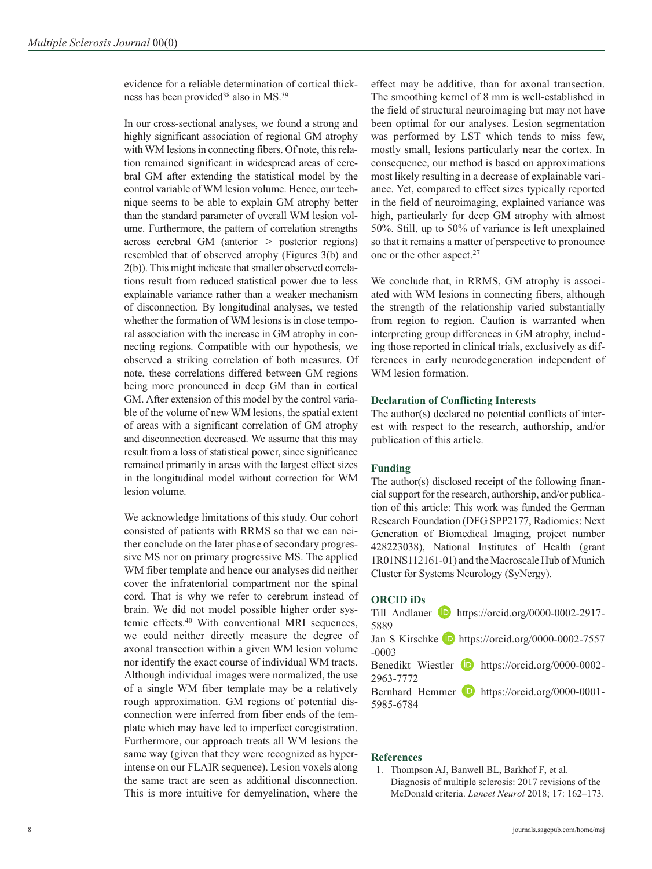evidence for a reliable determination of cortical thickness has been provided<sup>38</sup> also in MS.<sup>39</sup>

In our cross-sectional analyses, we found a strong and highly significant association of regional GM atrophy with WM lesions in connecting fibers. Of note, this relation remained significant in widespread areas of cerebral GM after extending the statistical model by the control variable of WM lesion volume. Hence, our technique seems to be able to explain GM atrophy better than the standard parameter of overall WM lesion volume. Furthermore, the pattern of correlation strengths across cerebral GM (anterior > posterior regions) resembled that of observed atrophy (Figures 3(b) and 2(b)). This might indicate that smaller observed correlations result from reduced statistical power due to less explainable variance rather than a weaker mechanism of disconnection. By longitudinal analyses, we tested whether the formation of WM lesions is in close temporal association with the increase in GM atrophy in connecting regions. Compatible with our hypothesis, we observed a striking correlation of both measures. Of note, these correlations differed between GM regions being more pronounced in deep GM than in cortical GM. After extension of this model by the control variable of the volume of new WM lesions, the spatial extent of areas with a significant correlation of GM atrophy and disconnection decreased. We assume that this may result from a loss of statistical power, since significance remained primarily in areas with the largest effect sizes in the longitudinal model without correction for WM lesion volume.

We acknowledge limitations of this study. Our cohort consisted of patients with RRMS so that we can neither conclude on the later phase of secondary progressive MS nor on primary progressive MS. The applied WM fiber template and hence our analyses did neither cover the infratentorial compartment nor the spinal cord. That is why we refer to cerebrum instead of brain. We did not model possible higher order systemic effects.40 With conventional MRI sequences, we could neither directly measure the degree of axonal transection within a given WM lesion volume nor identify the exact course of individual WM tracts. Although individual images were normalized, the use of a single WM fiber template may be a relatively rough approximation. GM regions of potential disconnection were inferred from fiber ends of the template which may have led to imperfect coregistration. Furthermore, our approach treats all WM lesions the same way (given that they were recognized as hyperintense on our FLAIR sequence). Lesion voxels along the same tract are seen as additional disconnection. This is more intuitive for demyelination, where the

effect may be additive, than for axonal transection. The smoothing kernel of 8 mm is well-established in the field of structural neuroimaging but may not have been optimal for our analyses. Lesion segmentation was performed by LST which tends to miss few, mostly small, lesions particularly near the cortex. In consequence, our method is based on approximations most likely resulting in a decrease of explainable variance. Yet, compared to effect sizes typically reported in the field of neuroimaging, explained variance was high, particularly for deep GM atrophy with almost 50%. Still, up to 50% of variance is left unexplained so that it remains a matter of perspective to pronounce one or the other aspect.<sup>27</sup>

We conclude that, in RRMS, GM atrophy is associated with WM lesions in connecting fibers, although the strength of the relationship varied substantially from region to region. Caution is warranted when interpreting group differences in GM atrophy, including those reported in clinical trials, exclusively as differences in early neurodegeneration independent of WM lesion formation.

## **Declaration of Conflicting Interests**

The author(s) declared no potential conflicts of interest with respect to the research, authorship, and/or publication of this article.

# **Funding**

The author(s) disclosed receipt of the following financial support for the research, authorship, and/or publication of this article: This work was funded the German Research Foundation (DFG SPP2177, Radiomics: Next Generation of Biomedical Imaging, project number 428223038), National Institutes of Health (grant 1R01NS112161-01) and the Macroscale Hub of Munich Cluster for Systems Neurology (SyNergy).

# **ORCID iDs**

| Till Andlauer $\Box$ https://orcid.org/0000-0002-2917-  |
|---------------------------------------------------------|
| 5889                                                    |
| Jan S Kirschke D https://orcid.org/0000-0002-7557       |
| $-0003$                                                 |
| Benedikt Wiestler <b>D</b> https://orcid.org/0000-0002- |
| 2963-7772                                               |
| Bernhard Hemmer <b>D</b> https://orcid.org/0000-0001-   |
| 5985-6784                                               |
|                                                         |

## **References**

1. Thompson AJ, Banwell BL, Barkhof F, et al. Diagnosis of multiple sclerosis: 2017 revisions of the McDonald criteria. *Lancet Neurol* 2018; 17: 162–173.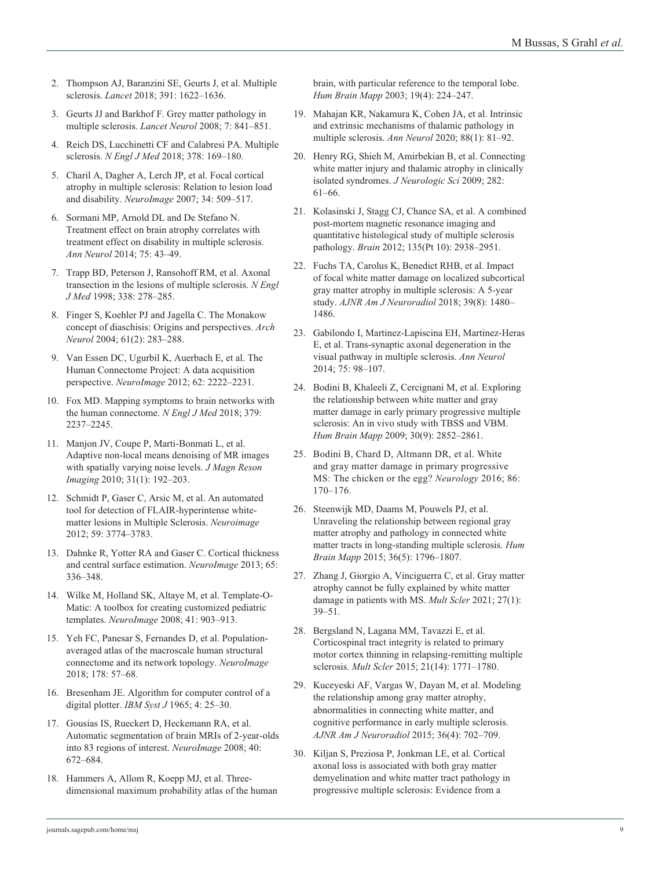- 2. Thompson AJ, Baranzini SE, Geurts J, et al. Multiple sclerosis. *Lancet* 2018; 391: 1622–1636.
- 3. Geurts JJ and Barkhof F. Grey matter pathology in multiple sclerosis. *Lancet Neurol* 2008; 7: 841–851.
- 4. Reich DS, Lucchinetti CF and Calabresi PA. Multiple sclerosis. *N Engl J Med* 2018; 378: 169–180.
- 5. Charil A, Dagher A, Lerch JP, et al. Focal cortical atrophy in multiple sclerosis: Relation to lesion load and disability. *NeuroImage* 2007; 34: 509–517.
- 6. Sormani MP, Arnold DL and De Stefano N. Treatment effect on brain atrophy correlates with treatment effect on disability in multiple sclerosis. *Ann Neurol* 2014; 75: 43–49.
- 7. Trapp BD, Peterson J, Ransohoff RM, et al. Axonal transection in the lesions of multiple sclerosis. *N Engl J Med* 1998; 338: 278–285.
- 8. Finger S, Koehler PJ and Jagella C. The Monakow concept of diaschisis: Origins and perspectives. *Arch Neurol* 2004; 61(2): 283–288.
- 9. Van Essen DC, Ugurbil K, Auerbach E, et al. The Human Connectome Project: A data acquisition perspective. *NeuroImage* 2012; 62: 2222–2231.
- 10. Fox MD. Mapping symptoms to brain networks with the human connectome. *N Engl J Med* 2018; 379: 2237–2245.
- 11. Manjon JV, Coupe P, Marti-Bonmati L, et al. Adaptive non-local means denoising of MR images with spatially varying noise levels. *J Magn Reson Imaging* 2010; 31(1): 192–203.
- 12. Schmidt P, Gaser C, Arsic M, et al. An automated tool for detection of FLAIR-hyperintense whitematter lesions in Multiple Sclerosis. *Neuroimage* 2012; 59: 3774–3783.
- 13. Dahnke R, Yotter RA and Gaser C. Cortical thickness and central surface estimation. *NeuroImage* 2013; 65: 336–348.
- 14. Wilke M, Holland SK, Altaye M, et al. Template-O-Matic: A toolbox for creating customized pediatric templates. *NeuroImage* 2008; 41: 903–913.
- 15. Yeh FC, Panesar S, Fernandes D, et al. Populationaveraged atlas of the macroscale human structural connectome and its network topology. *NeuroImage* 2018; 178: 57–68.
- 16. Bresenham JE. Algorithm for computer control of a digital plotter. *IBM Syst J* 1965; 4: 25–30.
- 17. Gousias IS, Rueckert D, Heckemann RA, et al. Automatic segmentation of brain MRIs of 2-year-olds into 83 regions of interest. *NeuroImage* 2008; 40: 672–684.
- 18. Hammers A, Allom R, Koepp MJ, et al. Threedimensional maximum probability atlas of the human

brain, with particular reference to the temporal lobe. *Hum Brain Mapp* 2003; 19(4): 224–247.

- 19. Mahajan KR, Nakamura K, Cohen JA, et al. Intrinsic and extrinsic mechanisms of thalamic pathology in multiple sclerosis. *Ann Neurol* 2020; 88(1): 81–92.
- 20. Henry RG, Shieh M, Amirbekian B, et al. Connecting white matter injury and thalamic atrophy in clinically isolated syndromes. *J Neurologic Sci* 2009; 282: 61–66.
- 21. Kolasinski J, Stagg CJ, Chance SA, et al. A combined post-mortem magnetic resonance imaging and quantitative histological study of multiple sclerosis pathology. *Brain* 2012; 135(Pt 10): 2938–2951.
- 22. Fuchs TA, Carolus K, Benedict RHB, et al. Impact of focal white matter damage on localized subcortical gray matter atrophy in multiple sclerosis: A 5-year study. *AJNR Am J Neuroradiol* 2018; 39(8): 1480– 1486.
- 23. Gabilondo I, Martinez-Lapiscina EH, Martinez-Heras E, et al. Trans-synaptic axonal degeneration in the visual pathway in multiple sclerosis. *Ann Neurol* 2014; 75: 98–107.
- 24. Bodini B, Khaleeli Z, Cercignani M, et al. Exploring the relationship between white matter and gray matter damage in early primary progressive multiple sclerosis: An in vivo study with TBSS and VBM. *Hum Brain Mapp* 2009; 30(9): 2852–2861.
- 25. Bodini B, Chard D, Altmann DR, et al. White and gray matter damage in primary progressive MS: The chicken or the egg? *Neurology* 2016; 86: 170–176.
- 26. Steenwijk MD, Daams M, Pouwels PJ, et al. Unraveling the relationship between regional gray matter atrophy and pathology in connected white matter tracts in long-standing multiple sclerosis. *Hum Brain Mapp* 2015; 36(5): 1796–1807.
- 27. Zhang J, Giorgio A, Vinciguerra C, et al. Gray matter atrophy cannot be fully explained by white matter damage in patients with MS. *Mult Scler* 2021; 27(1): 39–51.
- 28. Bergsland N, Lagana MM, Tavazzi E, et al. Corticospinal tract integrity is related to primary motor cortex thinning in relapsing-remitting multiple sclerosis. *Mult Scler* 2015; 21(14): 1771–1780.
- 29. Kuceyeski AF, Vargas W, Dayan M, et al. Modeling the relationship among gray matter atrophy, abnormalities in connecting white matter, and cognitive performance in early multiple sclerosis. *AJNR Am J Neuroradiol* 2015; 36(4): 702–709.
- 30. Kiljan S, Preziosa P, Jonkman LE, et al. Cortical axonal loss is associated with both gray matter demyelination and white matter tract pathology in progressive multiple sclerosis: Evidence from a